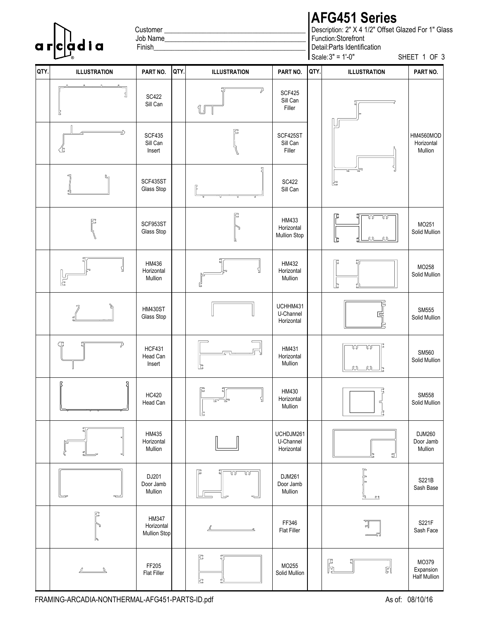Customer

### Finish\_\_\_\_\_\_\_\_\_\_\_\_\_\_\_\_\_\_\_\_\_\_\_\_\_\_\_\_\_\_\_\_\_\_\_\_\_\_\_\_\_\_\_

# **AFG451 Series**

Scale:  $3" = 1'-0"$ Function: Storefront Description: 2" X 4 1/2" Offset Glazed For 1" Glass Detail: Parts Identification SHEET 1 OF 3 **G451 Series**<br>ption: 2" X 4 1/2" Offset Glazed For 1" Glass<br>on:Storefront<br>Parts Identification<br> $3" = 1'-0"$  SHEET 1 OF 3<br>ILLUSTRATION PART NO.

|      | a r c adi a                                                                                                                                                                                                                                                                                                                                                 | Job Name_<br>Finish                        |      |                     |                                            | Function:Storefront<br>Detail: Parts Identification<br>Scale: 3" = 1'-0"<br>SHEET 1 OF 3 |  |  |  |
|------|-------------------------------------------------------------------------------------------------------------------------------------------------------------------------------------------------------------------------------------------------------------------------------------------------------------------------------------------------------------|--------------------------------------------|------|---------------------|--------------------------------------------|------------------------------------------------------------------------------------------|--|--|--|
| QTY. | <b>ILLUSTRATION</b>                                                                                                                                                                                                                                                                                                                                         | PART NO.                                   | QTY. | <b>ILLUSTRATION</b> | PART NO.                                   | QTY.<br>PART NO.<br><b>ILLUSTRATION</b>                                                  |  |  |  |
|      | Ŀ                                                                                                                                                                                                                                                                                                                                                           | <b>SC422</b><br>Sill Can                   |      | U                   | <b>SCF425</b><br>Sill Can<br>Filler        |                                                                                          |  |  |  |
|      | ∌<br>飞                                                                                                                                                                                                                                                                                                                                                      | <b>SCF435</b><br>Sill Can<br>Insert        |      | 匚                   | SCF425ST<br>Sill Can<br>Filler             | HM4560MOD<br>Horizontal<br>Mullion                                                       |  |  |  |
|      |                                                                                                                                                                                                                                                                                                                                                             | SCF435ST<br>Glass Stop                     |      | ጛា                  | <b>SC422</b><br>Sill Can                   | c                                                                                        |  |  |  |
|      | 阝                                                                                                                                                                                                                                                                                                                                                           | SCF953ST<br>Glass Stop                     |      | 尼                   | HM433<br>Horizontal<br><b>Mullion Stop</b> | Г.,<br><u>ೂ - ೧೧</u><br>MO251<br>Solid Mullion<br>$\omega$ $\omega$<br>ご                 |  |  |  |
|      | しょ                                                                                                                                                                                                                                                                                                                                                          | HM436<br>Horizontal<br>Mullion             |      |                     | HM432<br>Horizontal<br>Mullion             | MO258<br>Solid Mullion                                                                   |  |  |  |
|      |                                                                                                                                                                                                                                                                                                                                                             | <b>HM430ST</b><br>Glass Stop               |      |                     | UCHHM431<br>U-Channel<br>Horizontal        | SM555<br>Solid Mullion                                                                   |  |  |  |
|      | Ç                                                                                                                                                                                                                                                                                                                                                           | <b>HCF431</b><br>Head Can<br>Insert        |      | Ē.                  | HM431<br>Horizontal<br>Mullion             | w w<br>SM560<br>Solid Mullion<br><u>ar ar</u>                                            |  |  |  |
|      | 밁<br>ß                                                                                                                                                                                                                                                                                                                                                      | <b>HC420</b><br>Head Can                   |      | ß<br>Ŀ              | HM430<br>Horizontal<br>Mullion             | ę<br>SM558<br>Solid Mullion<br>č,                                                        |  |  |  |
|      |                                                                                                                                                                                                                                                                                                                                                             | HM435<br>Horizontal<br>Mullion             |      |                     | UCHDJM261<br>U-Channel<br>Horizontal       | DJM260<br>Door Jamb<br>Mullion<br>ปี                                                     |  |  |  |
|      | ~                                                                                                                                                                                                                                                                                                                                                           | DJ201<br>Door Jamb<br>Mullion              |      | E<br>w w            | DJM261<br>Door Jamb<br>Mullion             | S221B<br>Sash Base<br><u> ഹ</u>                                                          |  |  |  |
|      | β<br>J,                                                                                                                                                                                                                                                                                                                                                     | HM347<br>Horizontal<br><b>Mullion Stop</b> |      | ے۔                  | FF346<br><b>Flat Filler</b>                | S221F<br>Sash Face                                                                       |  |  |  |
|      | $\underline{\begin{picture}(10,7) \put(0,0){\dashbox{0.5}(10,0){10}} \put(15,0){\dashbox{0.5}(10,0){10}} \put(15,0){\dashbox{0.5}(10,0){10}} \put(15,0){\dashbox{0.5}(10,0){10}} \put(15,0){\dashbox{0.5}(10,0){10}} \put(15,0){\dashbox{0.5}(10,0){10}} \put(15,0){\dashbox{0.5}(10,0){10}} \put(15,0){\dashbox{0.5}(10,0){10}} \put(15,0){\dashbox{0.5}($ | FF205<br><b>Flat Filler</b>                |      | Ŀ                   | MO255<br>Solid Mullion                     | MO379<br>E<br>Gi<br>ď<br>Expansion<br><b>Half Mullion</b>                                |  |  |  |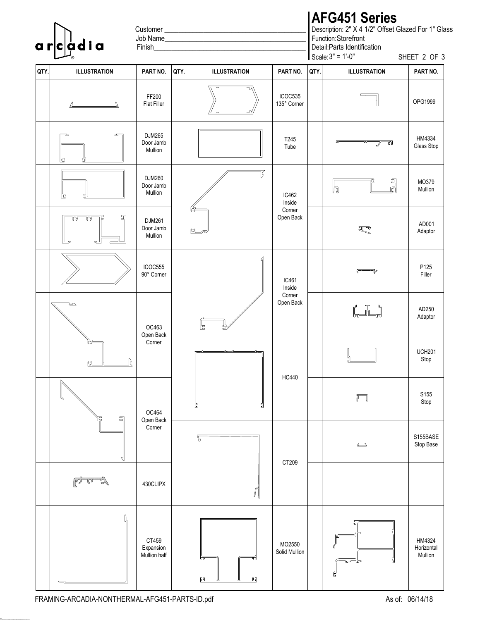Customer

# **AFG451 Series**

Scale: 3" = Function: Storefront Description: 2" X 4 1/2" Offset Glazed For 1" Glass Detail: Parts Identification **G451 Series**<br>ption: 2" X 4 1/2" Offset Glazed For 1" Glass<br>pn:Storefront<br>Parts Identification<br> $3" = 1'-0"$  SHEET 2 OF 3<br>ILLUSTRATION PART NO.

| QTY. | <b>ILLUSTRATION</b>            | PART NO.                              | QTY. | <b>ILLUSTRATION</b> | PART NO.                | QTY. | <b>ILLUSTRATION</b>                            | PART NO.                        |
|------|--------------------------------|---------------------------------------|------|---------------------|-------------------------|------|------------------------------------------------|---------------------------------|
|      | $\mathbb{Z}$                   | FF200<br><b>Flat Filler</b>           |      |                     | ICOC535<br>135° Corner  |      |                                                | OPG1999                         |
|      |                                | DJM265<br>Door Jamb<br>Mullion        |      |                     | T245<br>Tube            |      | $\overline{\phantom{a}}$<br>Y W                | HM4334<br>Glass Stop            |
|      | 티<br>Ŀ                         | DJM260<br>Door Jamb<br>Mullion        |      | B                   | IC462<br>Inside         |      | r<br>Fi<br>h                                   | MO379<br>Mullion                |
|      | ত্য<br>$\overline{\mathbb{C}}$ | <b>DJM261</b><br>Door Jamb<br>Mullion |      | <b>MA</b>           | Corner<br>Open Back     |      | R                                              | AD001<br>Adaptor                |
|      |                                | ICOC555<br>90° Corner                 |      |                     | IC461<br>Inside         |      |                                                | P125<br>Filler                  |
|      | S                              | OC463                                 |      | 니<br>5,             | Corner<br>Open Back     |      | $\begin{bmatrix} 1 & 1 \\ 1 & 1 \end{bmatrix}$ | AD250<br>Adaptor                |
|      | G)<br><u>ហ</u>                 | Open Back<br>Corner                   |      |                     | <b>HC440</b>            |      |                                                | <b>UCH201</b><br>Stop           |
|      | $\mathbb N$<br>Л<br>힠<br>记     | OC464<br>Open Back                    |      | Ľ<br>뒵              |                         |      | T                                              | S155<br>Stop                    |
|      | ₹                              | Corner                                |      | G                   | CT209                   |      | $\overline{\phantom{a}}$                       | S155BASE<br>Stop Base           |
|      | <u>lova</u>                    | 430CLIPX                              |      | $\sqrt{2}$          |                         |      |                                                |                                 |
|      |                                | CT459<br>Expansion<br>Mullion half    |      | lā<br>叼             | MO2550<br>Solid Mullion |      | SI<br>ᡃᡆ                                       | HM4324<br>Horizontal<br>Mullion |

Z:\01 UPDATED FILES\01 CAD\01 FRAMING\15 AFG451\SERIES\FRAMING-ARCADIA-NONTHERMAL-AFG451-PARTS-ID.DWG